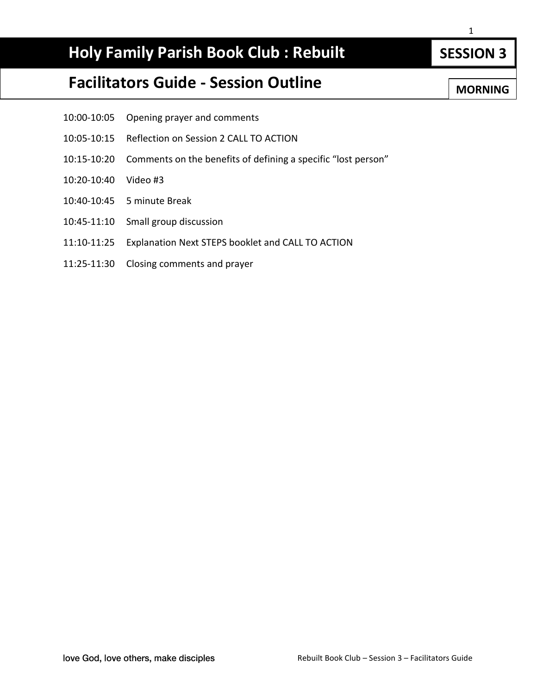# **Holy Family Parish Book Club : Rebuilt**

# **Facilitators Guide - Session Outline**

- 10:00-10:05 Opening prayer and comments
- 10:05-10:15 Reflection on Session 2 CALL TO ACTION
- 10:15-10:20 Comments on the benefits of defining a specific "lost person"
- 10:20-10:40 Video #3
- 10:40-10:45 5 minute Break
- 10:45-11:10 Small group discussion
- 11:10-11:25 Explanation Next STEPS booklet and CALL TO ACTION
- 11:25-11:30 Closing comments and prayer

**SESSION 3**

**MORNING**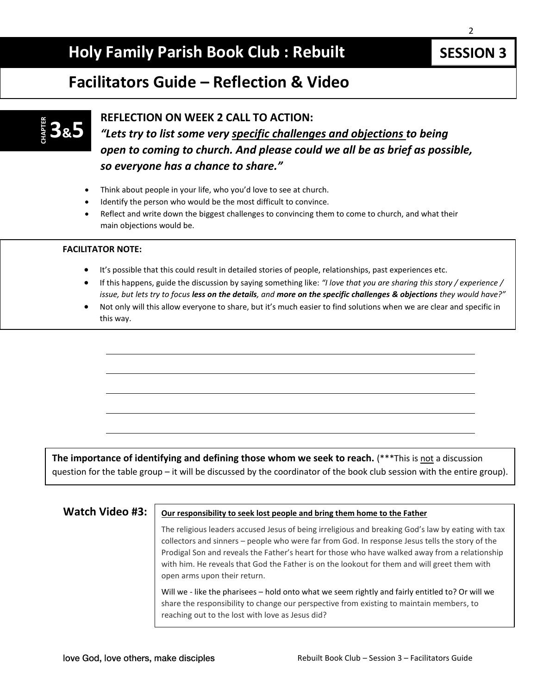# **Holy Family Parish Book Club : Rebuilt**

 $\mathcal{P}$ 

### **Facilitators Guide – Reflection & Video**

# **3&5 CHAPTER**

#### **REFLECTION ON WEEK 2 CALL TO ACTION:**

*"Lets try to list some very specific challenges and objections to being open to coming to church. And please could we all be as brief as possible, so everyone has a chance to share."*

- Think about people in your life, who you'd love to see at church.
- Identify the person who would be the most difficult to convince.
- Reflect and write down the biggest challenges to convincing them to come to church, and what their main objections would be.

#### **FACILITATOR NOTE:**

- It's possible that this could result in detailed stories of people, relationships, past experiences etc.
- If this happens, guide the discussion by saying something like: *"I love that you are sharing this story / experience / issue, but lets try to focus less on the details, and more on the specific challenges & objections they would have?"*
- Not only will this allow everyone to share, but it's much easier to find solutions when we are clear and specific in this way.

**The importance of identifying and defining those whom we seek to reach.** (\*\*\*This is not a discussion question for the table group – it will be discussed by the coordinator of the book club session with the entire group).

#### **Watch Video #3:**  $\vert$  Our responsibility to seek lost people and bring them home to the Father

The religious leaders accused Jesus of being irreligious and breaking God's law by eating with tax collectors and sinners – people who were far from God. In response Jesus tells the story of the Prodigal Son and reveals the Father's heart for those who have walked away from a relationship with him. He reveals that God the Father is on the lookout for them and will greet them with open arms upon their return.

Will we - like the pharisees – hold onto what we seem rightly and fairly entitled to? Or will we share the responsibility to change our perspective from existing to maintain members, to reaching out to the lost with love as Jesus did?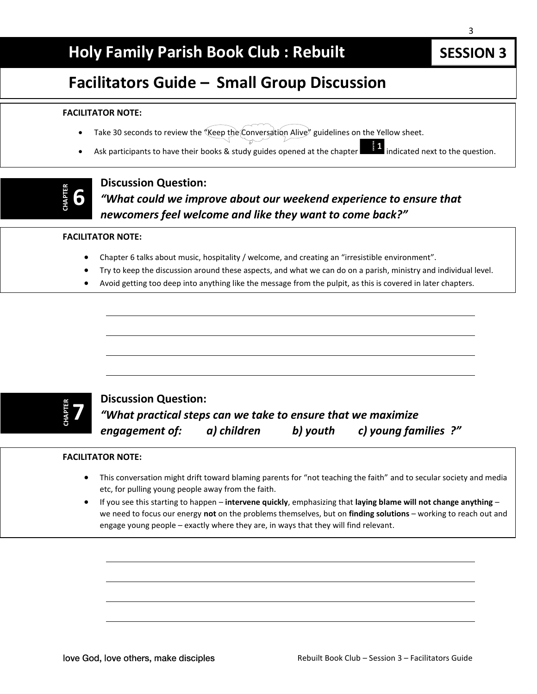# **Holy Family Parish Book Club : Rebuilt**

# **Facilitators Guide – Small Group Discussion**

#### **FACILITATOR NOTE:**

- Take 30 seconds to review the "Keep the Conversation Alive" guidelines on the Yellow sheet.
- Ask participants to have their books & study guides opened at the chapter  $\blacksquare$  indicated next to the question.

# **CHAPTER 6**

#### **Discussion Question:** *"What could we improve about our weekend experience to ensure that newcomers feel welcome and like they want to come back?"*

#### **FACILITATOR NOTE:**

- Chapter 6 talks about music, hospitality / welcome, and creating an "irresistible environment".
- Try to keep the discussion around these aspects, and what we can do on a parish, ministry and individual level.
- Avoid getting too deep into anything like the message from the pulpit, as this is covered in later chapters.

### **7 CHAPTER**

### **Discussion Question:** *"What practical steps can we take to ensure that we maximize engagement of: a) children b) youth c) young families ?"*

#### **FACILITATOR NOTE:**

- This conversation might drift toward blaming parents for "not teaching the faith" and to secular society and media etc, for pulling young people away from the faith.
- If you see this starting to happen **intervene quickly**, emphasizing that **laying blame will not change anything** we need to focus our energy **not** on the problems themselves, but on **finding solutions** – working to reach out and engage young people – exactly where they are, in ways that they will find relevant.

**SESSION 3**